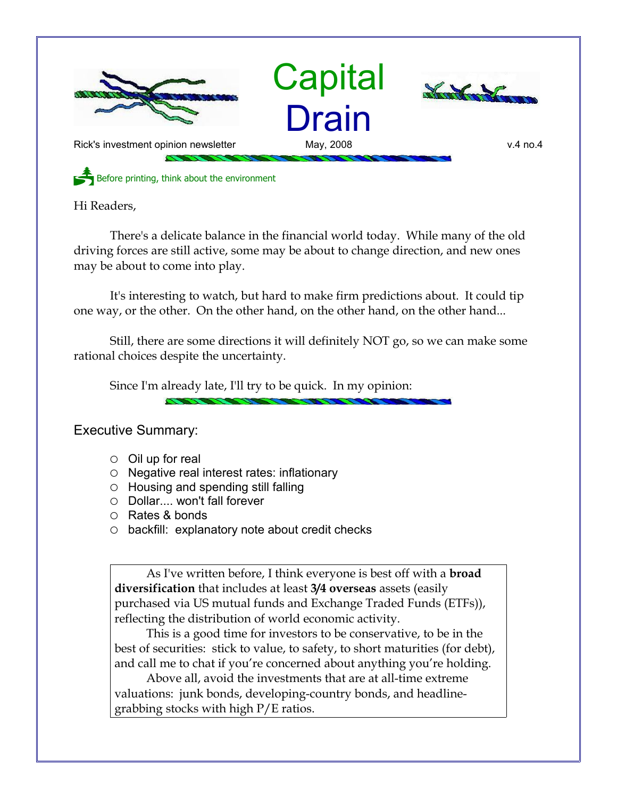

Hi Readers,

There's a delicate balance in the financial world today. While many of the old driving forces are still active, some may be about to change direction, and new ones may be about to come into play.

It's interesting to watch, but hard to make firm predictions about. It could tip one way, or the other. On the other hand, on the other hand, on the other hand...

Still, there are some directions it will definitely NOT go, so we can make some rational choices despite the uncertainty.

Since I'm already late, I'll try to be quick. In my opinion:

Executive Summary:

- $\circ$  Oil up for real
- Negative real interest rates: inflationary
- Housing and spending still falling
- Dollar.... won't fall forever
- Rates & bonds
- backfill: explanatory note about credit checks

As I've written before, I think everyone is best off with a **broad diversification** that includes at least **3/4 overseas** assets (easily purchased via US mutual funds and Exchange Traded Funds (ETFs)), reflecting the distribution of world economic activity.

This is a good time for investors to be conservative, to be in the best of securities: stick to value, to safety, to short maturities (for debt), and call me to chat if you're concerned about anything you're holding.

Above all, avoid the investments that are at all-time extreme valuations: junk bonds, developing-country bonds, and headlinegrabbing stocks with high P/E ratios.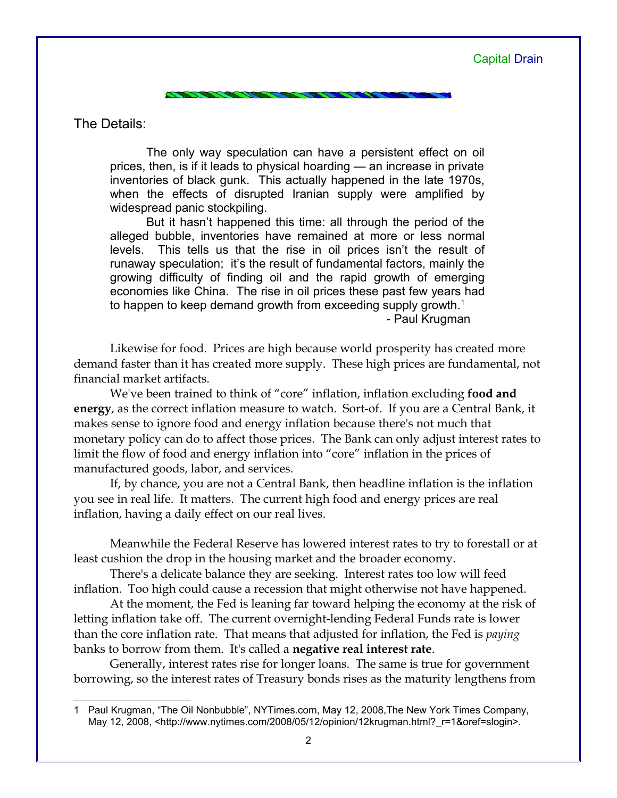## Capital Drain

The Details:

The only way speculation can have a persistent effect on oil prices, then, is if it leads to physical hoarding — an increase in private inventories of black gunk. This actually happened in the late 1970s, when the effects of disrupted Iranian supply were amplified by widespread panic stockpiling.

But it hasn't happened this time: all through the period of the alleged bubble, inventories have remained at more or less normal levels. This tells us that the rise in oil prices isn't the result of runaway speculation; it's the result of fundamental factors, mainly the growing difficulty of finding oil and the rapid growth of emerging economies like China. The rise in oil prices these past few years had to happen to keep demand growth from exceeding supply growth.<sup>[1](#page-1-0)</sup>

- Paul Krugman

Likewise for food. Prices are high because world prosperity has created more demand faster than it has created more supply. These high prices are fundamental, not financial market artifacts.

We've been trained to think of "core" inflation, inflation excluding **food and energy**, as the correct inflation measure to watch. Sort-of. If you are a Central Bank, it makes sense to ignore food and energy inflation because there's not much that monetary policy can do to affect those prices. The Bank can only adjust interest rates to limit the flow of food and energy inflation into "core" inflation in the prices of manufactured goods, labor, and services.

If, by chance, you are not a Central Bank, then headline inflation is the inflation you see in real life. It matters. The current high food and energy prices are real inflation, having a daily effect on our real lives.

Meanwhile the Federal Reserve has lowered interest rates to try to forestall or at least cushion the drop in the housing market and the broader economy.

There's a delicate balance they are seeking. Interest rates too low will feed inflation. Too high could cause a recession that might otherwise not have happened.

At the moment, the Fed is leaning far toward helping the economy at the risk of letting inflation take off. The current overnight-lending Federal Funds rate is lower than the core inflation rate. That means that adjusted for inflation, the Fed is *paying* banks to borrow from them. It's called a **negative real interest rate**.

Generally, interest rates rise for longer loans. The same is true for government borrowing, so the interest rates of Treasury bonds rises as the maturity lengthens from

<span id="page-1-0"></span><sup>1</sup> Paul Krugman, "The Oil Nonbubble", NYTimes.com, May 12, 2008,The New York Times Company, May 12, 2008, <http://www.nytimes.com/2008/05/12/opinion/12krugman.html?\_r=1&oref=slogin>.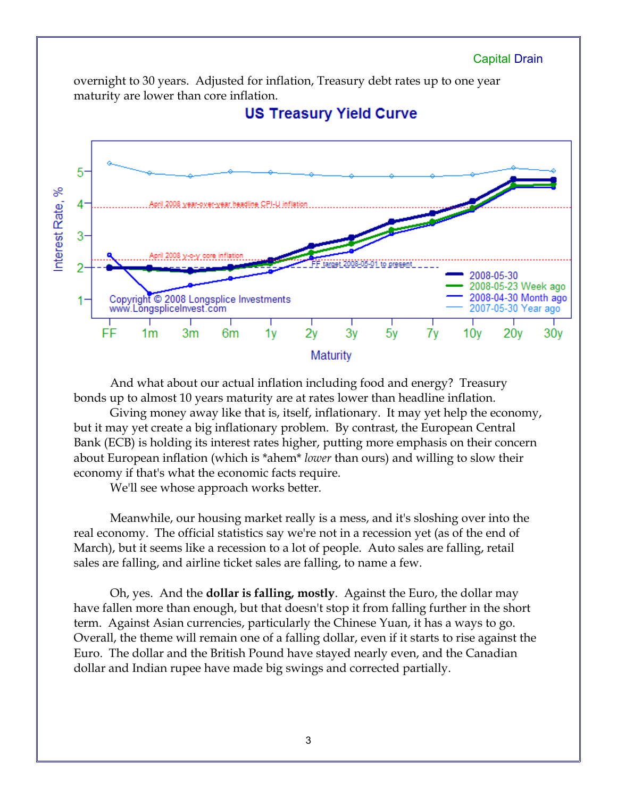

And what about our actual inflation including food and energy? Treasury bonds up to almost 10 years maturity are at rates lower than headline inflation.

Giving money away like that is, itself, inflationary. It may yet help the economy, but it may yet create a big inflationary problem. By contrast, the European Central Bank (ECB) is holding its interest rates higher, putting more emphasis on their concern about European inflation (which is \*ahem\* *lower* than ours) and willing to slow their economy if that's what the economic facts require.

We'll see whose approach works better.

Meanwhile, our housing market really is a mess, and it's sloshing over into the real economy. The official statistics say we're not in a recession yet (as of the end of March), but it seems like a recession to a lot of people. Auto sales are falling, retail sales are falling, and airline ticket sales are falling, to name a few.

Oh, yes. And the **dollar is falling, mostly**. Against the Euro, the dollar may have fallen more than enough, but that doesn't stop it from falling further in the short term. Against Asian currencies, particularly the Chinese Yuan, it has a ways to go. Overall, the theme will remain one of a falling dollar, even if it starts to rise against the Euro. The dollar and the British Pound have stayed nearly even, and the Canadian dollar and Indian rupee have made big swings and corrected partially.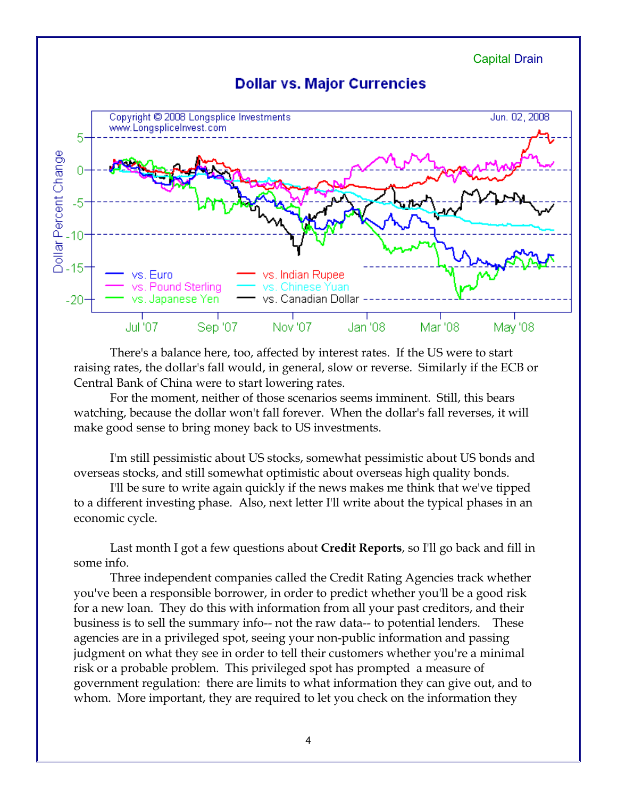

There's a balance here, too, affected by interest rates. If the US were to start raising rates, the dollar's fall would, in general, slow or reverse. Similarly if the ECB or Central Bank of China were to start lowering rates.

For the moment, neither of those scenarios seems imminent. Still, this bears watching, because the dollar won't fall forever. When the dollar's fall reverses, it will make good sense to bring money back to US investments.

I'm still pessimistic about US stocks, somewhat pessimistic about US bonds and overseas stocks, and still somewhat optimistic about overseas high quality bonds.

I'll be sure to write again quickly if the news makes me think that we've tipped to a different investing phase. Also, next letter I'll write about the typical phases in an economic cycle.

Last month I got a few questions about **Credit Reports**, so I'll go back and fill in some info.

Three independent companies called the Credit Rating Agencies track whether you've been a responsible borrower, in order to predict whether you'll be a good risk for a new loan. They do this with information from all your past creditors, and their business is to sell the summary info-- not the raw data-- to potential lenders. These agencies are in a privileged spot, seeing your non-public information and passing judgment on what they see in order to tell their customers whether you're a minimal risk or a probable problem. This privileged spot has prompted a measure of government regulation: there are limits to what information they can give out, and to whom. More important, they are required to let you check on the information they